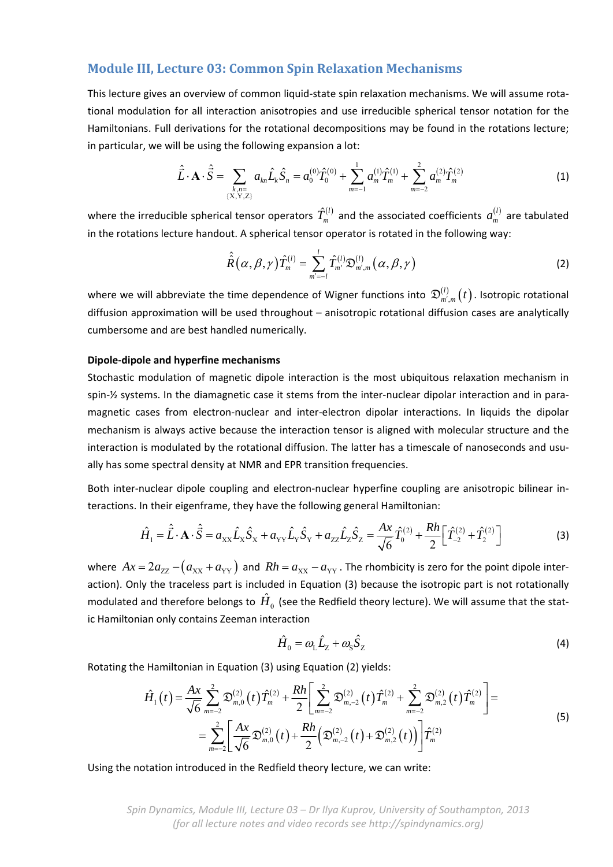# **Module III, Lecture 03: Common Spin Relaxation Mechanisms**

This lecture gives an overview of common liquid-state spin relaxation mechanisms. We will assume rotational modulation for all interaction anisotropies and use irreducible spherical tensor notation for the Hamiltonians. Full derivations for the rotational decompositions may be found in the rotations lecture; in particular, we will be using the following expansion a lot:

$$
\hat{\vec{L}} \cdot \mathbf{A} \cdot \hat{\vec{S}} = \sum_{\substack{k,n=1\\ \{X,Y,Z\}}} a_{kn} \hat{L}_k \hat{S}_n = a_0^{(0)} \hat{T}_0^{(0)} + \sum_{m=-1}^1 a_m^{(1)} \hat{T}_m^{(1)} + \sum_{m=-2}^2 a_m^{(2)} \hat{T}_m^{(2)} \tag{1}
$$

where the irreducible spherical tensor operators  $\hat{T}^{(l)}_m$  and the associated coefficients  $a^{(l)}_m$  are tabulated in the rotations lecture handout. A spherical tensor operator is rotated in the following way:

$$
\hat{\hat{R}}(\alpha,\beta,\gamma)\hat{T}_{m}^{(l)}=\sum_{m'=-l}^{l}\hat{T}_{m'}^{(l)}\mathfrak{D}_{m',m}^{(l)}(\alpha,\beta,\gamma)
$$
\n(2)

where we will abbreviate the time dependence of Wigner functions into  $\mathfrak{D}_{m',m}^{(l)}(t)$  . Isotropic rotational diffusion approximation will be used throughout – anisotropic rotational diffusion cases are analytically cumbersome and are best handled numerically.

### **Dipole‐dipole and hyperfine mechanisms**

Stochastic modulation of magnetic dipole interaction is the most ubiquitous relaxation mechanism in spin-½ systems. In the diamagnetic case it stems from the inter-nuclear dipolar interaction and in paramagnetic cases from electron‐nuclear and inter‐electron dipolar interactions. In liquids the dipolar mechanism is always active because the interaction tensor is aligned with molecular structure and the interaction is modulated by the rotational diffusion. The latter has a timescale of nanoseconds and usually has some spectral density at NMR and EPR transition frequencies.

Both inter-nuclear dipole coupling and electron-nuclear hyperfine coupling are anisotropic bilinear interactions. In their eigenframe, they have the following general Hamiltonian:

$$
\hat{H}_1 = \hat{\vec{L}} \cdot \mathbf{A} \cdot \hat{\vec{S}} = a_{XX} \hat{L}_X \hat{S}_X + a_{YY} \hat{L}_Y \hat{S}_Y + a_{ZZ} \hat{L}_Z \hat{S}_Z = \frac{Ax}{\sqrt{6}} \hat{T}_0^{(2)} + \frac{Rh}{2} \Big[ \hat{T}_{-2}^{(2)} + \hat{T}_2^{(2)} \Big]
$$
(3)

where  $Ax = 2a_{ZZ} - (a_{XX} + a_{YY})$  and  $Rh = a_{XX} - a_{YY}$ . The rhombicity is zero for the point dipole interaction). Only the traceless part is included in Equation (3) because the isotropic part is not rotationally modulated and therefore belongs to  $\hat{H}_{0}$  (see the Redfield theory lecture). We will assume that the static Hamiltonian only contains Zeeman interaction

$$
\hat{H}_0 = \omega_L \hat{L}_Z + \omega_S \hat{S}_Z \tag{4}
$$

Rotating the Hamiltonian in Equation (3) using Equation (2) yields:

$$
\hat{H}_1(t) = \frac{Ax}{\sqrt{6}} \sum_{m=-2}^{2} \mathfrak{D}_{m,0}^{(2)}(t) \hat{T}_m^{(2)} + \frac{Rh}{2} \left[ \sum_{m=-2}^{2} \mathfrak{D}_{m,-2}^{(2)}(t) \hat{T}_m^{(2)} + \sum_{m=-2}^{2} \mathfrak{D}_{m,2}^{(2)}(t) \hat{T}_m^{(2)} \right] =
$$
\n
$$
= \sum_{m=-2}^{2} \left[ \frac{Ax}{\sqrt{6}} \mathfrak{D}_{m,0}^{(2)}(t) + \frac{Rh}{2} \left( \mathfrak{D}_{m,-2}^{(2)}(t) + \mathfrak{D}_{m,2}^{(2)}(t) \right) \right] \hat{T}_m^{(2)} \tag{5}
$$

Using the notation introduced in the Redfield theory lecture, we can write:

*Spin Dynamics, Module III, Lecture 03 – Dr Ilya Kuprov, University of Southampton, 2013 (for all lecture notes and video records see http://spindynamics.org)*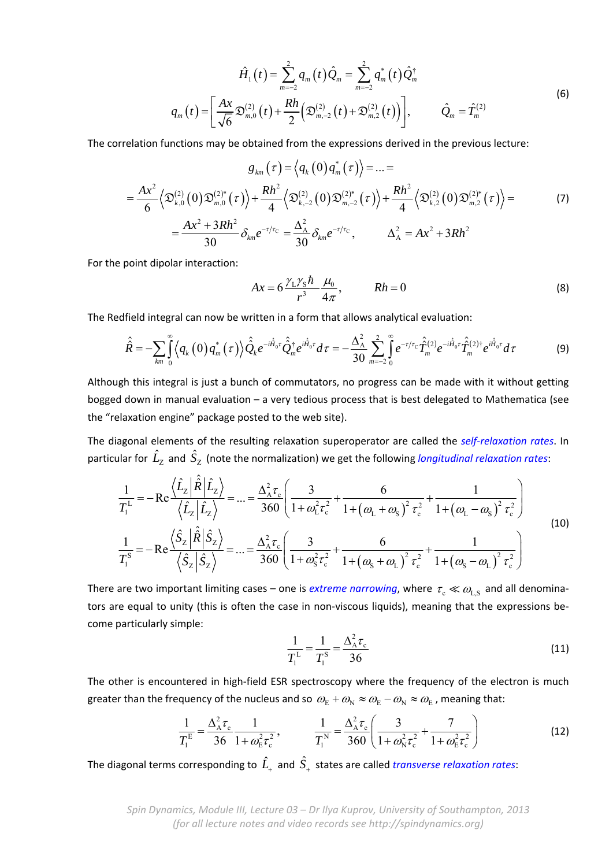$$
\hat{H}_1(t) = \sum_{m=-2}^{2} q_m(t) \hat{Q}_m = \sum_{m=-2}^{2} q_m^*(t) \hat{Q}_m^{\dagger}
$$
\n
$$
q_m(t) = \left[ \frac{Ax}{\sqrt{6}} \mathfrak{D}_{m,0}^{(2)}(t) + \frac{Rh}{2} \left( \mathfrak{D}_{m,-2}^{(2)}(t) + \mathfrak{D}_{m,2}^{(2)}(t) \right) \right], \qquad \hat{Q}_m = \hat{T}_m^{(2)}
$$
\n(6)

The correlation functions may be obtained from the expressions derived in the previous lecture:

$$
g_{km}(\tau) = \langle q_k(0) q_m^*(\tau) \rangle = ... =
$$
  
=  $\frac{Ax^2}{6} \langle \mathfrak{D}_{k,0}^{(2)}(0) \mathfrak{D}_{m,0}^{(2)*}(\tau) \rangle + \frac{Rh^2}{4} \langle \mathfrak{D}_{k,-2}^{(2)}(0) \mathfrak{D}_{m,-2}^{(2)*}(\tau) \rangle + \frac{Rh^2}{4} \langle \mathfrak{D}_{k,2}^{(2)}(0) \mathfrak{D}_{m,2}^{(2)*}(\tau) \rangle =$   
=  $\frac{Ax^2 + 3Rh^2}{30} \delta_{km} e^{-\tau/\tau_c} = \frac{\Delta_A^2}{30} \delta_{km} e^{-\tau/\tau_c}, \qquad \Delta_A^2 = Ax^2 + 3Rh^2$  (7)

For the point dipolar interaction:

$$
Ax = 6\frac{\gamma_1\gamma_5\hbar}{r^3}\frac{\mu_0}{4\pi}, \qquad Rh = 0 \tag{8}
$$

The Redfield integral can now be written in a form that allows analytical evaluation:

$$
\hat{\hat{R}} = -\sum_{km} \int_{0}^{\infty} \langle q_k(0) q_m^*(\tau) \rangle \hat{\hat{Q}}_k e^{-i\hat{H}_0 \tau} \hat{\hat{Q}}_m^{\dagger} e^{i\hat{H}_0 \tau} d\tau = -\frac{\Delta_{\rm A}^2}{30} \sum_{m=-2}^{\infty} \int_{0}^{\infty} e^{-\tau/\tau_{\rm C}} \hat{\hat{T}}_m^{(2)} e^{-i\hat{H}_0 \tau} \hat{\hat{T}}_m^{(2)\dagger} e^{i\hat{H}_0 \tau} d\tau \tag{9}
$$

Although this integral is just a bunch of commutators, no progress can be made with it without getting bogged down in manual evaluation – a very tedious process that is best delegated to Mathematica (see the "relaxation engine" package posted to the web site).

The diagonal elements of the resulting relaxation superoperator are called the *self‐relaxation rates*. In particular for  $\hat{L}_{\rm Z}^{}$  and  $\hat{S}_{\rm Z}^{}$  (note the normalization) we get the following *longitudinal relaxation rates*:

$$
\frac{1}{T_1^L} = -\text{Re}\frac{\langle \hat{L}_z | \hat{R} | \hat{L}_z \rangle}{\langle \hat{L}_z | \hat{L}_z \rangle} = \dots = \frac{\Delta_A^2 \tau_c}{360} \left( \frac{3}{1 + \omega_L^2 \tau_c^2} + \frac{6}{1 + (\omega_L + \omega_S)^2 \tau_c^2} + \frac{1}{1 + (\omega_L - \omega_S)^2 \tau_c^2} \right)
$$
\n
$$
\frac{1}{T_1^S} = -\text{Re}\frac{\langle \hat{S}_z | \hat{R} | \hat{S}_z \rangle}{\langle \hat{S}_z | \hat{S}_z \rangle} = \dots = \frac{\Delta_A^2 \tau_c}{360} \left( \frac{3}{1 + \omega_S^2 \tau_c^2} + \frac{6}{1 + (\omega_S + \omega_L)^2 \tau_c^2} + \frac{1}{1 + (\omega_S - \omega_L)^2 \tau_c^2} \right)
$$
\n(10)

There are two important limiting cases – one is *extreme narrowing*, where  $\tau_{\rm c} \ll \omega_{\rm L,S}$  and all denominators are equal to unity (this is often the case in non-viscous liquids), meaning that the expressions become particularly simple:

$$
\frac{1}{T_1^L} = \frac{1}{T_1^S} = \frac{\Delta_A^2 \tau_c}{36}
$$
 (11)

The other is encountered in high-field ESR spectroscopy where the frequency of the electron is much greater than the frequency of the nucleus and so  $\omega_E+\omega_N\approx\omega_E-\omega_N\approx\omega_E$  , meaning that:

$$
\frac{1}{T_1^{\rm E}} = \frac{\Delta_{\rm A}^2 \tau_{\rm c}}{36} \frac{1}{1 + \omega_{\rm E}^2 \tau_{\rm c}^2}, \qquad \frac{1}{T_1^{\rm N}} = \frac{\Delta_{\rm A}^2 \tau_{\rm c}}{360} \left( \frac{3}{1 + \omega_{\rm N}^2 \tau_{\rm c}^2} + \frac{7}{1 + \omega_{\rm E}^2 \tau_{\rm c}^2} \right)
$$
(12)

The diagonal terms corresponding to  $\hat{L}_{\scriptscriptstyle +}$  and  $\hat{S}_{\scriptscriptstyle +}$  states are called *transverse relaxation rates*:

*Spin Dynamics, Module III, Lecture 03 – Dr Ilya Kuprov, University of Southampton, 2013 (for all lecture notes and video records see http://spindynamics.org)*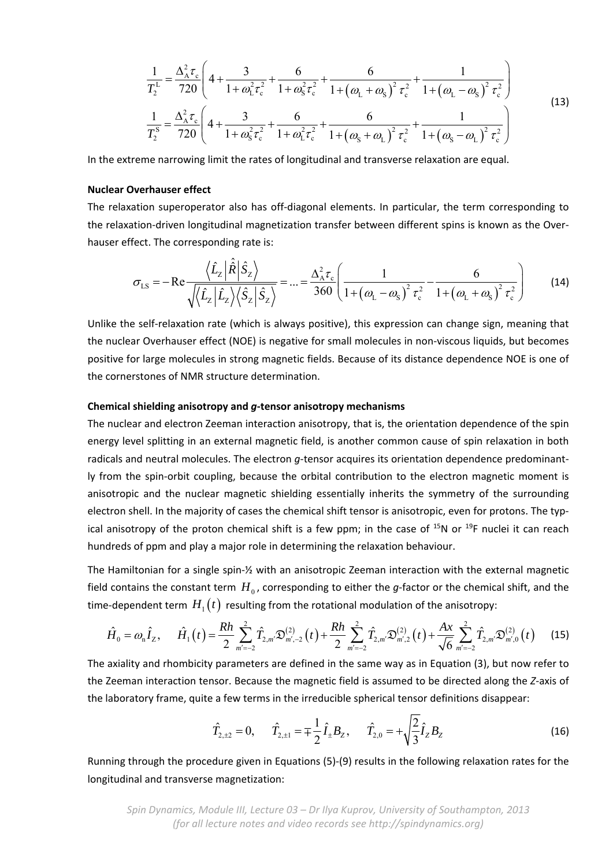$$
\frac{1}{T_2^L} = \frac{\Delta_A^2 \tau_c}{720} \left( 4 + \frac{3}{1 + \omega_L^2 \tau_c^2} + \frac{6}{1 + \omega_S^2 \tau_c^2} + \frac{6}{1 + (\omega_L + \omega_S)^2 \tau_c^2} + \frac{1}{1 + (\omega_L - \omega_S)^2 \tau_c^2} \right)
$$
\n
$$
\frac{1}{T_2^S} = \frac{\Delta_A^2 \tau_c}{720} \left( 4 + \frac{3}{1 + \omega_S^2 \tau_c^2} + \frac{6}{1 + \omega_L^2 \tau_c^2} + \frac{6}{1 + (\omega_S + \omega_L)^2 \tau_c^2} + \frac{1}{1 + (\omega_S - \omega_L)^2 \tau_c^2} \right)
$$
\n(13)

In the extreme narrowing limit the rates of longitudinal and transverse relaxation are equal.

### **Nuclear Overhauser effect**

The relaxation superoperator also has off-diagonal elements. In particular, the term corresponding to the relaxation‐driven longitudinal magnetization transfer between different spins is known as the Over‐ hauser effect. The corresponding rate is:

$$
\sigma_{LS} = -\mathrm{Re}\frac{\left\langle \hat{L}_{z} \left| \hat{\hat{R}} \right| \hat{S}_{z} \right\rangle}{\sqrt{\left\langle \hat{L}_{z} \left| \hat{L}_{z} \right\rangle \left\langle \hat{S}_{z} \right| \hat{S}_{z} \right\rangle}} = ... = \frac{\Delta_{A}^{2} \tau_{c}}{360} \left( \frac{1}{1 + \left(\omega_{L} - \omega_{s}\right)^{2} \tau_{c}^{2}} - \frac{6}{1 + \left(\omega_{L} + \omega_{s}\right)^{2} \tau_{c}^{2}} \right)
$$
(14)

Unlike the self‐relaxation rate (which is always positive), this expression can change sign, meaning that the nuclear Overhauser effect (NOE) is negative for small molecules in non‐viscous liquids, but becomes positive for large molecules in strong magnetic fields. Because of its distance dependence NOE is one of the cornerstones of NMR structure determination.

#### **Chemical shielding anisotropy and** *g***‐tensor anisotropy mechanisms**

The nuclear and electron Zeeman interaction anisotropy, that is, the orientation dependence of the spin energy level splitting in an external magnetic field, is another common cause of spin relaxation in both radicals and neutral molecules. The electron *g*-tensor acquires its orientation dependence predominantly from the spin‐orbit coupling, because the orbital contribution to the electron magnetic moment is anisotropic and the nuclear magnetic shielding essentially inherits the symmetry of the surrounding electron shell. In the majority of cases the chemical shift tensor is anisotropic, even for protons. The typ‐ ical anisotropy of the proton chemical shift is a few ppm; in the case of  $^{15}N$  or  $^{19}F$  nuclei it can reach hundreds of ppm and play a major role in determining the relaxation behaviour.

The Hamiltonian for a single spin‐½ with an anisotropic Zeeman interaction with the external magnetic field contains the constant term  $H_0$ , corresponding to either the *g*-factor or the chemical shift, and the time-dependent term  $H_1(t)$  resulting from the rotational modulation of the anisotropy:

$$
\hat{H}_0 = \omega_n \hat{I}_z, \quad \hat{H}_1(t) = \frac{Rh}{2} \sum_{m'=-2}^{2} \hat{T}_{2,m'} \mathfrak{D}_{m',-2}^{(2)}(t) + \frac{Rh}{2} \sum_{m'=-2}^{2} \hat{T}_{2,m'} \mathfrak{D}_{m',2}^{(2)}(t) + \frac{Ax}{\sqrt{6}} \sum_{m'=-2}^{2} \hat{T}_{2,m'} \mathfrak{D}_{m',0}^{(2)}(t) \quad (15)
$$

The axiality and rhombicity parameters are defined in the same way as in Equation (3), but now refer to the Zeeman interaction tensor. Because the magnetic field is assumed to be directed along the *Z*‐axis of the laboratory frame, quite a few terms in the irreducible spherical tensor definitions disappear:

$$
\hat{T}_{2,\pm 2} = 0, \qquad \hat{T}_{2,\pm 1} = \pm \frac{1}{2} \hat{I}_{\pm} B_{Z}, \qquad \hat{T}_{2,0} = + \sqrt{\frac{2}{3}} \hat{I}_{Z} B_{Z}
$$
\n(16)

Running through the procedure given in Equations (5)‐(9) results in the following relaxation rates for the longitudinal and transverse magnetization:

*Spin Dynamics, Module III, Lecture 03 – Dr Ilya Kuprov, University of Southampton, 2013 (for all lecture notes and video records see http://spindynamics.org)*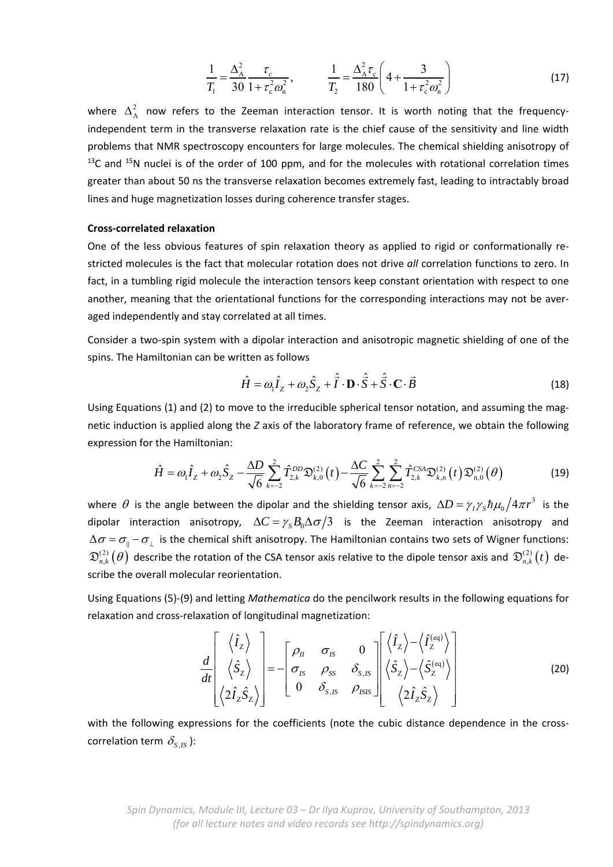$$
\frac{1}{T_1} = \frac{\Delta_A^2}{30} \frac{\tau_c}{1 + \tau_c^2 \omega_n^2}, \qquad \frac{1}{T_2} = \frac{\Delta_A^2 \tau_c}{180} \left( 4 + \frac{3}{1 + \tau_c^2 \omega_n^2} \right)
$$
(17)

where  $\Delta_A^2$  now refers to the Zeeman interaction tensor. It is worth noting that the frequencyindependent term in the transverse relaxation rate is the chief cause of the sensitivity and line width problems that NMR spectroscopy encounters for large molecules. The chemical shielding anisotropy of  $13C$  and  $15N$  nuclei is of the order of 100 ppm, and for the molecules with rotational correlation times greater than about 50 ns the transverse relaxation becomes extremely fast, leading to intractably broad lines and huge magnetization losses during coherence transfer stages.

### **Cross‐correlated relaxation**

One of the less obvious features of spin relaxation theory as applied to rigid or conformationally re‐ stricted molecules is the fact that molecular rotation does not drive *all* correlation functions to zero. In fact, in a tumbling rigid molecule the interaction tensors keep constant orientation with respect to one another, meaning that the orientational functions for the corresponding interactions may not be averaged independently and stay correlated at all times.

Consider a two‐spin system with a dipolar interaction and anisotropic magnetic shielding of one of the spins. The Hamiltonian can be written as follows

$$
\hat{H} = \omega_1 \hat{I}_z + \omega_2 \hat{S}_z + \hat{\vec{I}} \cdot \mathbf{D} \cdot \hat{\vec{S}} + \hat{\vec{S}} \cdot \mathbf{C} \cdot \vec{B}
$$
\n(18)

Using Equations (1) and (2) to move to the irreducible spherical tensor notation, and assuming the mag‐ netic induction is applied along the *Z* axis of the laboratory frame of reference, we obtain the following expression for the Hamiltonian:

$$
\hat{H} = \omega_1 \hat{I}_z + \omega_2 \hat{S}_z - \frac{\Delta D}{\sqrt{6}} \sum_{k=-2}^2 \hat{T}_{2,k}^{DD} \mathfrak{D}_{k,0}^{(2)}(t) - \frac{\Delta C}{\sqrt{6}} \sum_{k=-2}^2 \sum_{n=-2}^2 \hat{T}_{2,k}^{CSA} \mathfrak{D}_{k,n}^{(2)}(t) \mathfrak{D}_{n,0}^{(2)}(\theta) \tag{19}
$$

where  $\theta$  is the angle between the dipolar and the shielding tensor axis,  $\Delta D=\gamma_I\gamma_S\hbar\mu_0\big/4\pi r^3\,$  is the dipolar interaction anisotropy,  $\Delta C = \gamma_s B_0 \Delta \sigma / 3$  is the Zeeman interaction anisotropy and  $\Delta \sigma = \sigma_{\parallel} - \sigma_{\perp}$  is the chemical shift anisotropy. The Hamiltonian contains two sets of Wigner functions:  $\mathfrak{D}^{(2)}_{n,k}(\theta)$  describe the rotation of the CSA tensor axis relative to the dipole tensor axis and  $\mathfrak{D}^{(2)}_{n,k}(t)$  describe the overall molecular reorientation.

Using Equations (5)‐(9) and letting *Mathematica* do the pencilwork results in the following equations for relaxation and cross‐relaxation of longitudinal magnetization:

$$
\frac{d}{dt} \begin{bmatrix} \langle \hat{I}_z \rangle \\ \langle \hat{S}_z \rangle \\ \langle 2\hat{I}_z \hat{S}_z \rangle \end{bmatrix} = - \begin{bmatrix} \rho_{II} & \sigma_{IS} & 0 \\ \sigma_{IS} & \rho_{SS} & \delta_{S,IS} \\ 0 & \delta_{S,IS} & \rho_{ISIS} \end{bmatrix} \begin{bmatrix} \langle \hat{I}_z \rangle - \langle \hat{I}_z^{(eq)} \rangle \\ \langle \hat{S}_z \rangle - \langle \hat{S}_z^{(eq)} \rangle \\ \langle 2\hat{I}_z \hat{S}_z \rangle \end{bmatrix}
$$
(20)

with the following expressions for the coefficients (note the cubic distance dependence in the crosscorrelation term  $\delta_{SIS}$  ):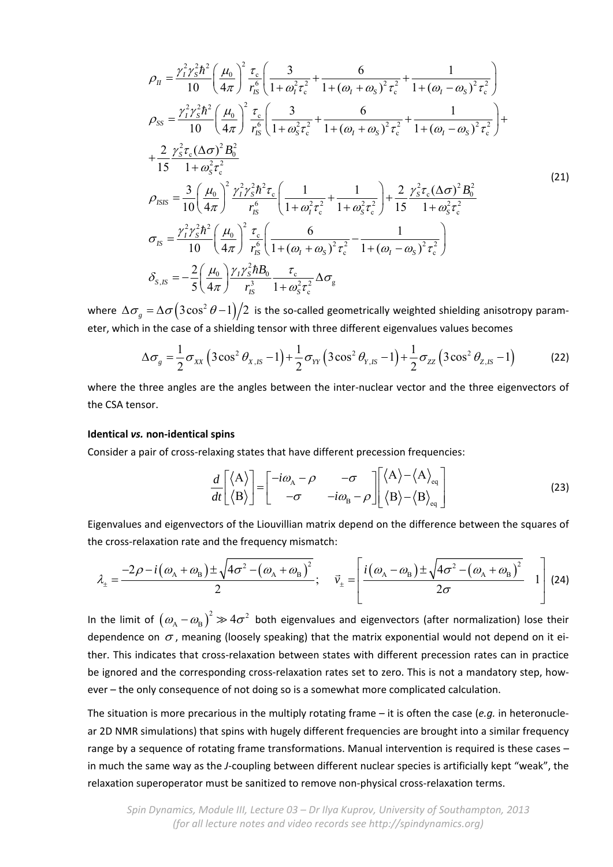$$
\rho_{II} = \frac{\gamma_{I}^{2} \gamma_{S}^{2} \hbar^{2}}{10} \left( \frac{\mu_{0}}{4\pi} \right)^{2} \frac{\tau_{c}}{r_{S}^{6}} \left( \frac{3}{1 + \omega_{I}^{2} \tau_{c}^{2}} + \frac{6}{1 + (\omega_{I} + \omega_{S})^{2} \tau_{c}^{2}} + \frac{1}{1 + (\omega_{I} - \omega_{S})^{2} \tau_{c}^{2}} \right) \n\rho_{SS} = \frac{\gamma_{I}^{2} \gamma_{S}^{2} \hbar^{2}}{10} \left( \frac{\mu_{0}}{4\pi} \right)^{2} \frac{\tau_{c}}{r_{S}^{6}} \left( \frac{3}{1 + \omega_{S}^{2} \tau_{c}^{2}} + \frac{6}{1 + (\omega_{I} + \omega_{S})^{2} \tau_{c}^{2}} + \frac{1}{1 + (\omega_{I} - \omega_{S})^{2} \tau_{c}^{2}} \right) + \n+ \frac{2}{15} \frac{\gamma_{S}^{2} \tau_{c} (\Delta \sigma)^{2} B_{0}^{2}}{1 + \omega_{S}^{2} \tau_{c}^{2}} \n\rho_{ISS} = \frac{3}{10} \left( \frac{\mu_{0}}{4\pi} \right)^{2} \frac{\gamma_{I}^{2} \gamma_{S}^{2} \hbar^{2} \tau_{c}}{r_{S}^{6}} \left( \frac{1}{1 + \omega_{I}^{2} \tau_{c}^{2}} + \frac{1}{1 + \omega_{S}^{2} \tau_{c}^{2}} \right) + \frac{2}{15} \frac{\gamma_{S}^{2} \tau_{c} (\Delta \sigma)^{2} B_{0}^{2}}{1 + \omega_{S}^{2} \tau_{c}^{2}} \n\sigma_{IS} = \frac{\gamma_{I}^{2} \gamma_{S}^{2} \hbar^{2}}{10} \left( \frac{\mu_{0}}{4\pi} \right)^{2} \frac{\tau_{c}}{r_{S}^{6}} \left( \frac{6}{1 + (\omega_{I} + \omega_{S})^{2} \tau_{c}^{2}} - \frac{1}{1 + (\omega_{I} - \omega_{S})^{2} \tau_{c}^{2}} \right) \n\delta_{S,IS} = -\frac{2}{5} \left( \frac{\mu_{0}}{4\pi} \right) \frac{\gamma_{I} \gamma_{S
$$

where  $\Delta \sigma_{\rho} = \Delta \sigma (3 \cos^2 \theta - 1)/2$  is the so-called geometrically weighted shielding anisotropy parameter, which in the case of a shielding tensor with three different eigenvalues values becomes

$$
\Delta \sigma_{g} = \frac{1}{2} \sigma_{xx} \left( 3 \cos^{2} \theta_{x,IS} - 1 \right) + \frac{1}{2} \sigma_{yy} \left( 3 \cos^{2} \theta_{y,IS} - 1 \right) + \frac{1}{2} \sigma_{zz} \left( 3 \cos^{2} \theta_{z,IS} - 1 \right)
$$
(22)

where the three angles are the angles between the inter-nuclear vector and the three eigenvectors of the CSA tensor.

### **Identical** *vs.* **non‐identical spins**

Consider a pair of cross‐relaxing states that have different precession frequencies:

$$
\frac{d}{dt} \begin{bmatrix} \langle A \rangle \\ \langle B \rangle \end{bmatrix} = \begin{bmatrix} -i\omega_{A} - \rho & -\sigma \\ -\sigma & -i\omega_{B} - \rho \end{bmatrix} \begin{bmatrix} \langle A \rangle - \langle A \rangle_{eq} \\ \langle B \rangle - \langle B \rangle_{eq} \end{bmatrix}
$$
(23)

Eigenvalues and eigenvectors of the Liouvillian matrix depend on the difference between the squares of the cross‐relaxation rate and the frequency mismatch:

$$
\lambda_{\pm} = \frac{-2\rho - i(\omega_{\rm A} + \omega_{\rm B}) \pm \sqrt{4\sigma^2 - (\omega_{\rm A} + \omega_{\rm B})^2}}{2}; \quad \vec{v}_{\pm} = \left[\frac{i(\omega_{\rm A} - \omega_{\rm B}) \pm \sqrt{4\sigma^2 - (\omega_{\rm A} + \omega_{\rm B})^2}}{2\sigma} \right] (24)
$$

In the limit of  $(\omega_{\rm A}-\omega_{\rm B})^2\gg 4\sigma^2$  both eigenvalues and eigenvectors (after normalization) lose their dependence on  $\sigma$ , meaning (loosely speaking) that the matrix exponential would not depend on it either. This indicates that cross-relaxation between states with different precession rates can in practice be ignored and the corresponding cross-relaxation rates set to zero. This is not a mandatory step, however – the only consequence of not doing so is a somewhat more complicated calculation.

The situation is more precarious in the multiply rotating frame – it is often the case (*e.g.* in heteronucle‐ ar 2D NMR simulations) that spins with hugely different frequencies are brought into a similar frequency range by a sequence of rotating frame transformations. Manual intervention is required is these cases in much the same way as the *J*‐coupling between different nuclear species is artificially kept "weak", the relaxation superoperator must be sanitized to remove non-physical cross-relaxation terms.